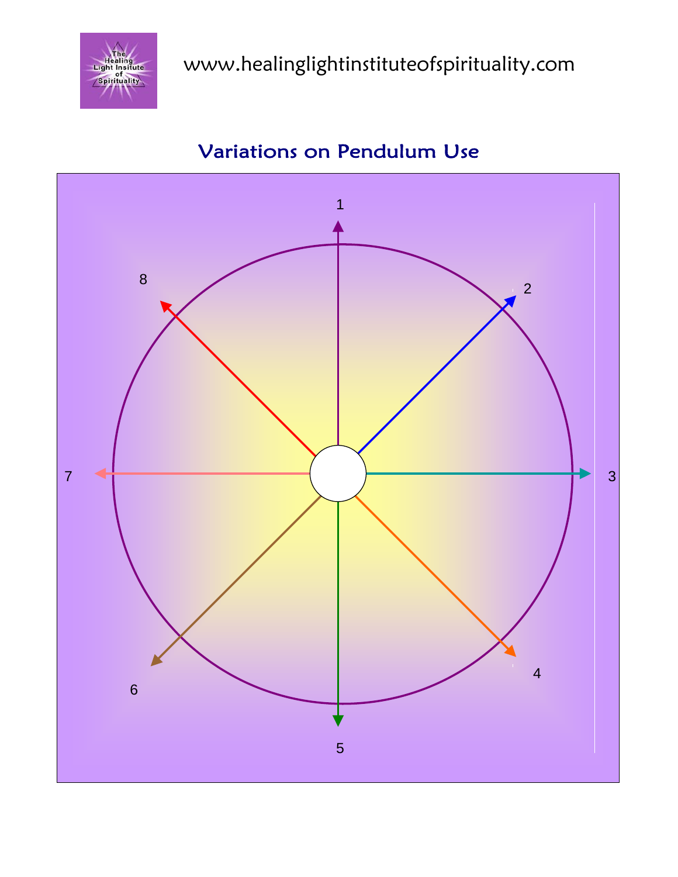



## Variations on Pendulum Use